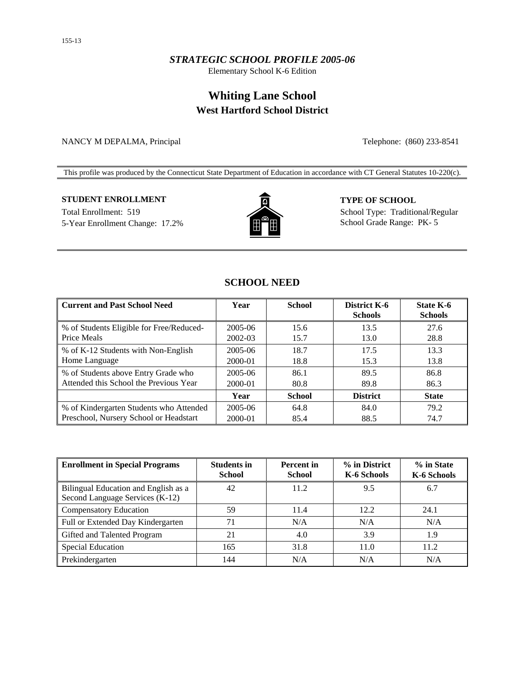### *STRATEGIC SCHOOL PROFILE 2005-06*

Elementary School K-6 Edition

# **Whiting Lane School West Hartford School District**

NANCY M DEPALMA, Principal Telephone: (860) 233-8541

This profile was produced by the Connecticut State Department of Education in accordance with CT General Statutes 10-220(c).

### **STUDENT ENROLLMENT TYPE OF SCHOOL**

Total Enrollment: 519 School Type: Traditional/Regular 5-Year Enrollment Change: 17.2% School Grade Range: PK- 5



## **SCHOOL NEED**

| <b>Current and Past School Need</b>                     | Year               | <b>School</b> | District K-6<br><b>Schools</b> | <b>State K-6</b><br><b>Schools</b> |
|---------------------------------------------------------|--------------------|---------------|--------------------------------|------------------------------------|
| % of Students Eligible for Free/Reduced-<br>Price Meals | 2005-06<br>2002-03 | 15.6<br>15.7  | 13.5<br>13.0                   | 27.6<br>28.8                       |
| % of K-12 Students with Non-English                     | 2005-06            | 18.7          | 17.5                           | 13.3                               |
| Home Language                                           | 2000-01            | 18.8          | 15.3                           | 13.8                               |
| % of Students above Entry Grade who                     | 2005-06            | 86.1          | 89.5                           | 86.8                               |
| Attended this School the Previous Year                  | 2000-01            | 80.8          | 89.8                           | 86.3                               |
|                                                         | Year               | <b>School</b> | <b>District</b>                | <b>State</b>                       |
| % of Kindergarten Students who Attended                 | 2005-06            | 64.8          | 84.0                           | 79.2                               |
| Preschool, Nursery School or Headstart                  | 2000-01            | 85.4          | 88.5                           | 74.7                               |

| <b>Enrollment in Special Programs</b>                                   | <b>Students in</b><br><b>School</b> | <b>Percent</b> in<br><b>School</b> | % in District<br>K-6 Schools | % in State<br>K-6 Schools |
|-------------------------------------------------------------------------|-------------------------------------|------------------------------------|------------------------------|---------------------------|
| Bilingual Education and English as a<br>Second Language Services (K-12) | 42                                  | 11.2                               | 9.5                          | 6.7                       |
| <b>Compensatory Education</b>                                           | 59                                  | 11.4                               | 12.2                         | 24.1                      |
| Full or Extended Day Kindergarten                                       | 71                                  | N/A                                | N/A                          | N/A                       |
| Gifted and Talented Program                                             | 21                                  | 4.0                                | 3.9                          | 1.9                       |
| <b>Special Education</b>                                                | 165                                 | 31.8                               | 11.0                         | 11.2                      |
| Prekindergarten                                                         | 144                                 | N/A                                | N/A                          | N/A                       |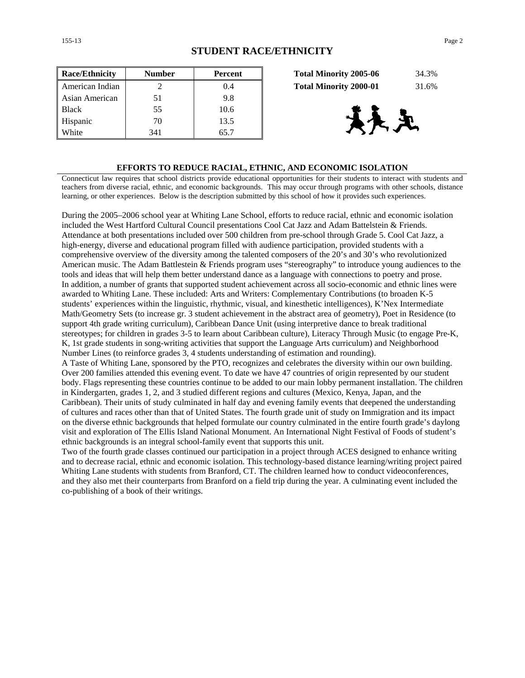| <b>Race/Ethnicity</b> | <b>Number</b> | <b>Percent</b> | 34.3%<br><b>Total Minority 2005-06</b> |
|-----------------------|---------------|----------------|----------------------------------------|
| American Indian       |               | 0.4            | <b>Total Minority 2000-01</b><br>31.6% |
| Asian American        | 51            | 9.8            |                                        |
| <b>Black</b>          | 55            | 10.6           |                                        |
| Hispanic              | 70            | 13.5           | 大王                                     |
| White                 | 341           | 65.7           |                                        |

| <b>Total Minority 2005-06</b> | 34.3% |
|-------------------------------|-------|
| <b>Total Minority 2000-01</b> | 31.6% |



#### **EFFORTS TO REDUCE RACIAL, ETHNIC, AND ECONOMIC ISOLATION**

Connecticut law requires that school districts provide educational opportunities for their students to interact with students and teachers from diverse racial, ethnic, and economic backgrounds. This may occur through programs with other schools, distance learning, or other experiences. Below is the description submitted by this school of how it provides such experiences.

During the 2005–2006 school year at Whiting Lane School, efforts to reduce racial, ethnic and economic isolation included the West Hartford Cultural Council presentations Cool Cat Jazz and Adam Battelstein & Friends. Attendance at both presentations included over 500 children from pre-school through Grade 5. Cool Cat Jazz, a high-energy, diverse and educational program filled with audience participation, provided students with a comprehensive overview of the diversity among the talented composers of the 20's and 30's who revolutionized American music. The Adam Battlestein & Friends program uses "stereography" to introduce young audiences to the tools and ideas that will help them better understand dance as a language with connections to poetry and prose. In addition, a number of grants that supported student achievement across all socio-economic and ethnic lines were awarded to Whiting Lane. These included: Arts and Writers: Complementary Contributions (to broaden K-5 students' experiences within the linguistic, rhythmic, visual, and kinesthetic intelligences), K'Nex Intermediate Math/Geometry Sets (to increase gr. 3 student achievement in the abstract area of geometry), Poet in Residence (to support 4th grade writing curriculum), Caribbean Dance Unit (using interpretive dance to break traditional stereotypes; for children in grades 3-5 to learn about Caribbean culture), Literacy Through Music (to engage Pre-K, K, 1st grade students in song-writing activities that support the Language Arts curriculum) and Neighborhood Number Lines (to reinforce grades 3, 4 students understanding of estimation and rounding).

A Taste of Whiting Lane, sponsored by the PTO, recognizes and celebrates the diversity within our own building. Over 200 families attended this evening event. To date we have 47 countries of origin represented by our student body. Flags representing these countries continue to be added to our main lobby permanent installation. The children in Kindergarten, grades 1, 2, and 3 studied different regions and cultures (Mexico, Kenya, Japan, and the Caribbean). Their units of study culminated in half day and evening family events that deepened the understanding of cultures and races other than that of United States. The fourth grade unit of study on Immigration and its impact on the diverse ethnic backgrounds that helped formulate our country culminated in the entire fourth grade's daylong visit and exploration of The Ellis Island National Monument. An International Night Festival of Foods of student's ethnic backgrounds is an integral school-family event that supports this unit.

Two of the fourth grade classes continued our participation in a project through ACES designed to enhance writing and to decrease racial, ethnic and economic isolation. This technology-based distance learning/writing project paired Whiting Lane students with students from Branford, CT. The children learned how to conduct videoconferences, and they also met their counterparts from Branford on a field trip during the year. A culminating event included the co-publishing of a book of their writings.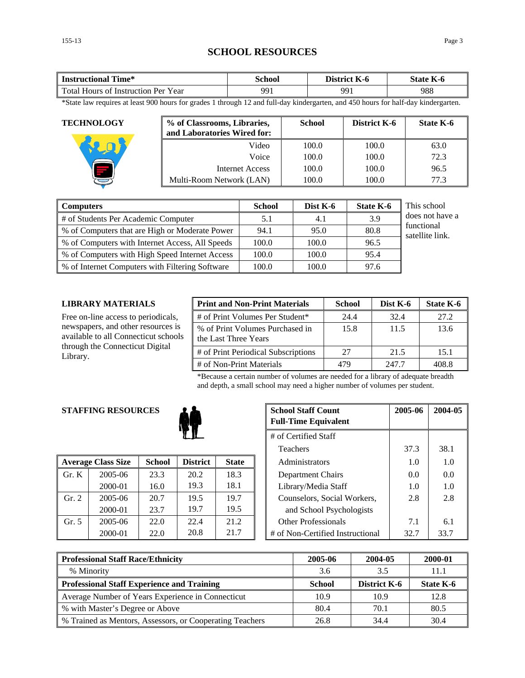# **SCHOOL RESOURCES**

| Time*<br>Instructional                        | School | $-$<br>District<br>K-6 | $-$<br>State<br>K-0 |
|-----------------------------------------------|--------|------------------------|---------------------|
| Total Hours<br>Year<br>Instruction Per_<br>0Ť | 991    | 991                    | 988                 |

\*State law requires at least 900 hours for grades 1 through 12 and full-day kindergarten, and 450 hours for half-day kindergarten.

| <b>TECHNOLOGY</b> | % of Classrooms, Libraries,<br>and Laboratories Wired for: | <b>School</b> | District K-6 | State K-6 |
|-------------------|------------------------------------------------------------|---------------|--------------|-----------|
|                   | Video                                                      | 100.0         | 100.0        | 63.0      |
|                   | Voice                                                      | 100.0         | 100.0        | 72.3      |
|                   | Internet Access                                            | 100.0         | 100.0        | 96.5      |
|                   | Multi-Room Network (LAN)                                   | 100.0         | 100.0        | 77.3      |

| <b>Computers</b>                                | <b>School</b> | Dist $K-6$ | <b>State K-6</b> | This school                   |
|-------------------------------------------------|---------------|------------|------------------|-------------------------------|
| # of Students Per Academic Computer             | 5.1           | 4.1        | 3.9              | does not have a               |
| % of Computers that are High or Moderate Power  | 94.1          | 95.0       | 80.8             | functional<br>satellite link. |
| % of Computers with Internet Access, All Speeds | 100.0         | 100.0      | 96.5             |                               |
| % of Computers with High Speed Internet Access  | 100.0         | 100.0      | 95.4             |                               |
| % of Internet Computers with Filtering Software | 100.0         | 100.0      | 97.6             |                               |

#### **LIBRARY MATERIALS**

Free on-line access to periodicals, newspapers, and other resources is available to all Connecticut schools through the Connecticut Digital Library.

| <b>Print and Non-Print Materials</b>                    | <b>School</b> | Dist K-6 | State K-6 |
|---------------------------------------------------------|---------------|----------|-----------|
| # of Print Volumes Per Student*                         | 24.4          | 32.4     | 27.2      |
| % of Print Volumes Purchased in<br>the Last Three Years | 15.8          | 11.5     | 13.6      |
| # of Print Periodical Subscriptions                     | 27            | 21.5     | 15.1      |
| # of Non-Print Materials                                |               | 247.7    | 408.8     |

\*Because a certain number of volumes are needed for a library of adequate breadth and depth, a small school may need a higher number of volumes per student.

### **STAFFING RESOURCES**



|                | <b>Average Class Size</b> | <b>School</b> | <b>District</b> | <b>State</b> | Administrators                   | 1.0  | 1.0  |
|----------------|---------------------------|---------------|-----------------|--------------|----------------------------------|------|------|
| $\Gamma$ Gr. K | 2005-06                   | 23.3          | 20.2            | 18.3         | Department Chairs                | 0.0  | 0.0  |
|                | 2000-01                   | 16.0          | 19.3            | 18.1         | Library/Media Staff              | 1.0  | 1.0  |
| Gr. 2          | 2005-06                   | 20.7          | 19.5            | 19.7         | Counselors, Social Workers,      | 2.8  | 2.8  |
|                | 2000-01                   | 23.7          | 19.7            | 19.5         | and School Psychologists         |      |      |
| Gr. 5          | 2005-06                   | 22.0          | 22.4            | 21.2         | <b>Other Professionals</b>       | 7.1  | 6.1  |
|                | 2000-01                   | 22.0          | 20.8            | 21.7         | # of Non-Certified Instructional | 32.7 | 33.7 |

| <b>G RESOURCES</b> |               | <b>School Staff Count</b><br><b>Full-Time Equivalent</b> | 2005-06      | 2004-05 |                                  |      |      |
|--------------------|---------------|----------------------------------------------------------|--------------|---------|----------------------------------|------|------|
|                    |               | # of Certified Staff                                     |              |         |                                  |      |      |
|                    |               |                                                          |              |         | <b>Teachers</b>                  | 37.3 | 38.1 |
| 'lass Size         | <b>School</b> | <b>District</b>                                          | <b>State</b> |         | <b>Administrators</b>            | 1.0  | 1.0  |
| 2005-06            | 23.3          | 20.2                                                     | 18.3         |         | Department Chairs                | 0.0  | 0.0  |
| 2000-01            | 16.0          | 19.3                                                     | 18.1         |         | Library/Media Staff              | 1.0  | 1.0  |
| 2005-06            | 20.7          | 19.5                                                     | 19.7         |         | Counselors, Social Workers,      | 2.8  | 2.8  |
| 2000-01            | 23.7          | 19.7                                                     | 19.5         |         | and School Psychologists         |      |      |
| 2005-06            | 22.0          | 22.4                                                     | 21.2         |         | <b>Other Professionals</b>       | 7.1  | 6.1  |
| 2000-01            | 22.0          | 20.8                                                     | 21.7         |         | # of Non-Certified Instructional | 32.7 | 33.7 |

| <b>Professional Staff Race/Ethnicity</b>                 | 2005-06       | 2004-05             | 2000-01   |
|----------------------------------------------------------|---------------|---------------------|-----------|
| % Minority                                               | 3.6           | 3.5                 |           |
| <b>Professional Staff Experience and Training</b>        | <b>School</b> | <b>District K-6</b> | State K-6 |
| Average Number of Years Experience in Connecticut        | 10.9          | 10.9                | 12.8      |
| % with Master's Degree or Above                          | 80.4          | 70.1                | 80.5      |
| % Trained as Mentors, Assessors, or Cooperating Teachers | 26.8          | 34.4                | 30.4      |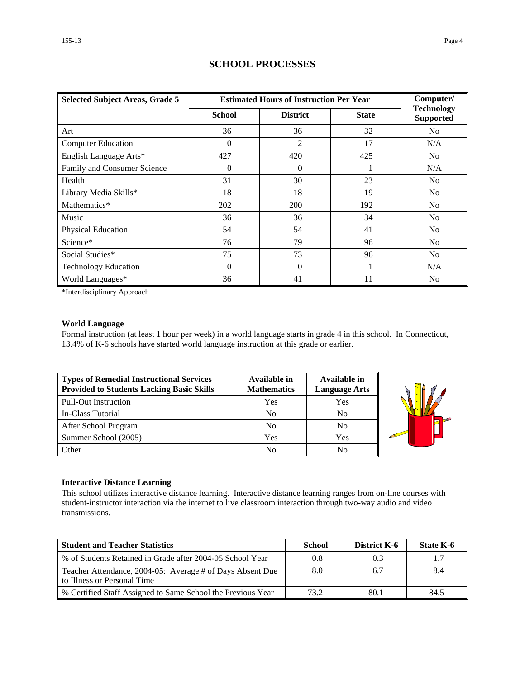| <b>Selected Subject Areas, Grade 5</b> | <b>Estimated Hours of Instruction Per Year</b> | Computer/       |              |                                       |
|----------------------------------------|------------------------------------------------|-----------------|--------------|---------------------------------------|
|                                        | <b>School</b>                                  | <b>District</b> | <b>State</b> | <b>Technology</b><br><b>Supported</b> |
| Art                                    | 36                                             | 36              | 32           | N <sub>0</sub>                        |
| <b>Computer Education</b>              | $\Omega$                                       | 2               | 17           | N/A                                   |
| English Language Arts*                 | 427                                            | 420             | 425          | No                                    |
| Family and Consumer Science            | 0                                              | $\theta$        |              | N/A                                   |
| Health                                 | 31                                             | 30              | 23           | N <sub>0</sub>                        |
| Library Media Skills*                  | 18                                             | 18              | 19           | N <sub>0</sub>                        |
| Mathematics*                           | 202                                            | 200             | 192          | N <sub>0</sub>                        |
| Music                                  | 36                                             | 36              | 34           | N <sub>0</sub>                        |
| Physical Education                     | 54                                             | 54              | 41           | N <sub>0</sub>                        |
| Science*                               | 76                                             | 79              | 96           | N <sub>0</sub>                        |
| Social Studies*                        | 75                                             | 73              | 96           | No                                    |
| <b>Technology Education</b>            | $\Omega$                                       | $\Omega$        |              | N/A                                   |
| World Languages*                       | 36                                             | 41              | 11           | No                                    |

### **SCHOOL PROCESSES**

\*Interdisciplinary Approach

### **World Language**

Formal instruction (at least 1 hour per week) in a world language starts in grade 4 in this school. In Connecticut, 13.4% of K-6 schools have started world language instruction at this grade or earlier.

| Types of Remedial Instructional Services<br><b>Provided to Students Lacking Basic Skills</b> | Available in<br><b>Mathematics</b> | Available in<br><b>Language Arts</b> |
|----------------------------------------------------------------------------------------------|------------------------------------|--------------------------------------|
| <b>Pull-Out Instruction</b>                                                                  | Yes                                | Yes                                  |
| In-Class Tutorial                                                                            | No                                 | No                                   |
| After School Program                                                                         | N <sub>0</sub>                     | No                                   |
| Summer School (2005)                                                                         | Yes                                | Yes                                  |
| Other                                                                                        | No                                 | No                                   |



#### **Interactive Distance Learning**

This school utilizes interactive distance learning. Interactive distance learning ranges from on-line courses with student-instructor interaction via the internet to live classroom interaction through two-way audio and video transmissions.

| <b>Student and Teacher Statistics</b>                                                    | <b>School</b> | <b>District K-6</b> | State K-6 |
|------------------------------------------------------------------------------------------|---------------|---------------------|-----------|
| ↓% of Students Retained in Grade after 2004-05 School Year                               | 0.8           | 0.3                 |           |
| Teacher Attendance, 2004-05: Average # of Days Absent Due<br>to Illness or Personal Time | 8.0           | 6.7                 | 8.4       |
| % Certified Staff Assigned to Same School the Previous Year                              | 73.2          | 80.1                | 84.5      |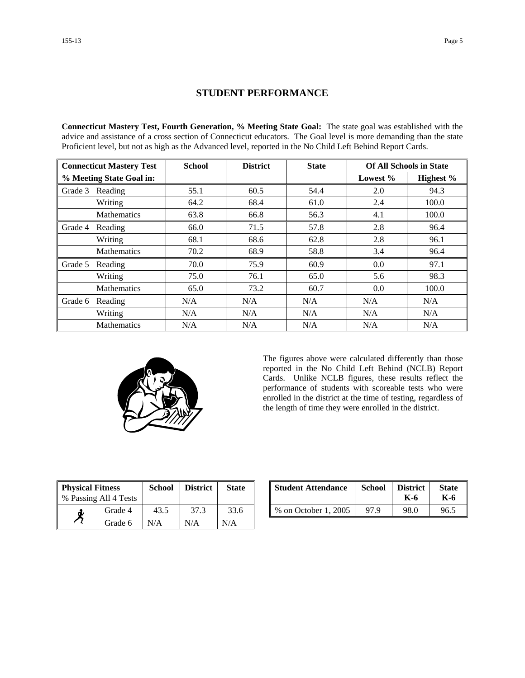### **STUDENT PERFORMANCE**

**Connecticut Mastery Test, Fourth Generation, % Meeting State Goal:** The state goal was established with the advice and assistance of a cross section of Connecticut educators. The Goal level is more demanding than the state Proficient level, but not as high as the Advanced level, reported in the No Child Left Behind Report Cards.

| <b>Connecticut Mastery Test</b> |                    | <b>School</b> | <b>District</b> | <b>State</b> | <b>Of All Schools in State</b> |           |  |
|---------------------------------|--------------------|---------------|-----------------|--------------|--------------------------------|-----------|--|
| % Meeting State Goal in:        |                    |               |                 |              | Lowest $%$                     | Highest % |  |
| Grade 3                         | Reading            | 55.1          | 60.5            | 54.4         | 2.0                            | 94.3      |  |
|                                 | Writing            | 64.2          | 68.4            | 61.0         | 2.4                            | 100.0     |  |
|                                 | <b>Mathematics</b> | 63.8          | 66.8            | 56.3         | 4.1                            | 100.0     |  |
| Grade 4                         | Reading            | 66.0          | 71.5            | 57.8         | 2.8                            | 96.4      |  |
|                                 | Writing            | 68.1          | 68.6            | 62.8         | 2.8                            | 96.1      |  |
|                                 | <b>Mathematics</b> | 70.2          | 68.9            | 58.8         | 3.4                            | 96.4      |  |
| Grade 5                         | Reading            | 70.0          | 75.9            | 60.9         | 0.0                            | 97.1      |  |
|                                 | Writing            | 75.0          | 76.1            | 65.0         | 5.6                            | 98.3      |  |
|                                 | <b>Mathematics</b> | 65.0          | 73.2            | 60.7         | 0.0                            | 100.0     |  |
| Grade 6                         | Reading            | N/A           | N/A             | N/A          | N/A                            | N/A       |  |
|                                 | Writing            | N/A           | N/A             | N/A          | N/A                            | N/A       |  |
|                                 | <b>Mathematics</b> | N/A           | N/A             | N/A          | N/A                            | N/A       |  |



The figures above were calculated differently than those reported in the No Child Left Behind (NCLB) Report Cards. Unlike NCLB figures, these results reflect the performance of students with scoreable tests who were enrolled in the district at the time of testing, regardless of the length of time they were enrolled in the district.

| <b>Physical Fitness</b> |                       | <b>School</b> | <b>District</b> | <b>State</b> |
|-------------------------|-----------------------|---------------|-----------------|--------------|
|                         | % Passing All 4 Tests |               |                 |              |
|                         | Grade 4               | 43.5          | 37.3            | 33.6         |
|                         | Grade 6               | N/A           | N/A             | N/A          |

| ness<br>11 4 Tests | School | <b>District</b> | <b>State</b> | <b>Student Attendance</b> | School | <b>District</b><br>K-6 | <b>State</b><br>K-6 |
|--------------------|--------|-----------------|--------------|---------------------------|--------|------------------------|---------------------|
| Grade 4            | 43.5   |                 | 33.6         | % on October 1, 2005      | 97.9   | 98.0                   | 96.5                |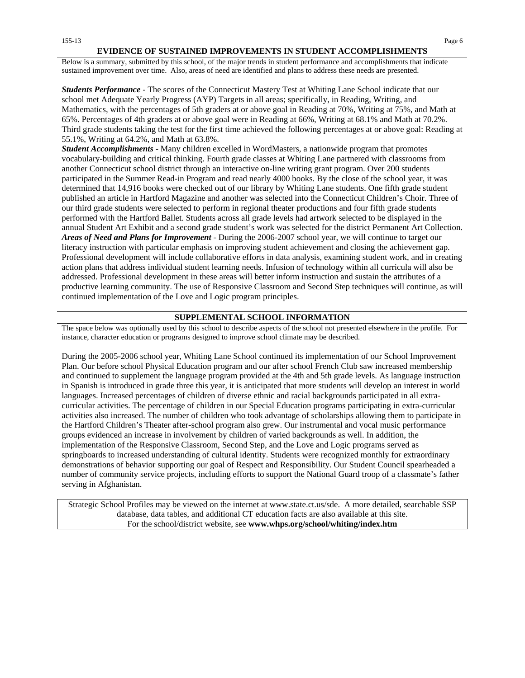#### **EVIDENCE OF SUSTAINED IMPROVEMENTS IN STUDENT ACCOMPLISHMENTS**

Below is a summary, submitted by this school, of the major trends in student performance and accomplishments that indicate sustained improvement over time. Also, areas of need are identified and plans to address these needs are presented.

*Students Performance* - The scores of the Connecticut Mastery Test at Whiting Lane School indicate that our school met Adequate Yearly Progress (AYP) Targets in all areas; specifically, in Reading, Writing, and Mathematics, with the percentages of 5th graders at or above goal in Reading at 70%, Writing at 75%, and Math at 65%. Percentages of 4th graders at or above goal were in Reading at 66%, Writing at 68.1% and Math at 70.2%. Third grade students taking the test for the first time achieved the following percentages at or above goal: Reading at 55.1%, Writing at 64.2%, and Math at 63.8%.

*Student Accomplishments* - Many children excelled in WordMasters, a nationwide program that promotes vocabulary-building and critical thinking. Fourth grade classes at Whiting Lane partnered with classrooms from another Connecticut school district through an interactive on-line writing grant program. Over 200 students participated in the Summer Read-in Program and read nearly 4000 books. By the close of the school year, it was determined that 14,916 books were checked out of our library by Whiting Lane students. One fifth grade student published an article in Hartford Magazine and another was selected into the Connecticut Children's Choir. Three of our third grade students were selected to perform in regional theater productions and four fifth grade students performed with the Hartford Ballet. Students across all grade levels had artwork selected to be displayed in the annual Student Art Exhibit and a second grade student's work was selected for the district Permanent Art Collection. *Areas of Need and Plans for Improvement* - During the 2006-2007 school year, we will continue to target our literacy instruction with particular emphasis on improving student achievement and closing the achievement gap. Professional development will include collaborative efforts in data analysis, examining student work, and in creating action plans that address individual student learning needs. Infusion of technology within all curricula will also be addressed. Professional development in these areas will better inform instruction and sustain the attributes of a productive learning community. The use of Responsive Classroom and Second Step techniques will continue, as will continued implementation of the Love and Logic program principles.

#### **SUPPLEMENTAL SCHOOL INFORMATION**

The space below was optionally used by this school to describe aspects of the school not presented elsewhere in the profile. For instance, character education or programs designed to improve school climate may be described.

During the 2005-2006 school year, Whiting Lane School continued its implementation of our School Improvement Plan. Our before school Physical Education program and our after school French Club saw increased membership and continued to supplement the language program provided at the 4th and 5th grade levels. As language instruction in Spanish is introduced in grade three this year, it is anticipated that more students will develop an interest in world languages. Increased percentages of children of diverse ethnic and racial backgrounds participated in all extracurricular activities. The percentage of children in our Special Education programs participating in extra-curricular activities also increased. The number of children who took advantage of scholarships allowing them to participate in the Hartford Children's Theater after-school program also grew. Our instrumental and vocal music performance groups evidenced an increase in involvement by children of varied backgrounds as well. In addition, the implementation of the Responsive Classroom, Second Step, and the Love and Logic programs served as springboards to increased understanding of cultural identity. Students were recognized monthly for extraordinary demonstrations of behavior supporting our goal of Respect and Responsibility. Our Student Council spearheaded a number of community service projects, including efforts to support the National Guard troop of a classmate's father serving in Afghanistan.

Strategic School Profiles may be viewed on the internet at www.state.ct.us/sde. A more detailed, searchable SSP database, data tables, and additional CT education facts are also available at this site. For the school/district website, see **www.whps.org/school/whiting/index.htm**